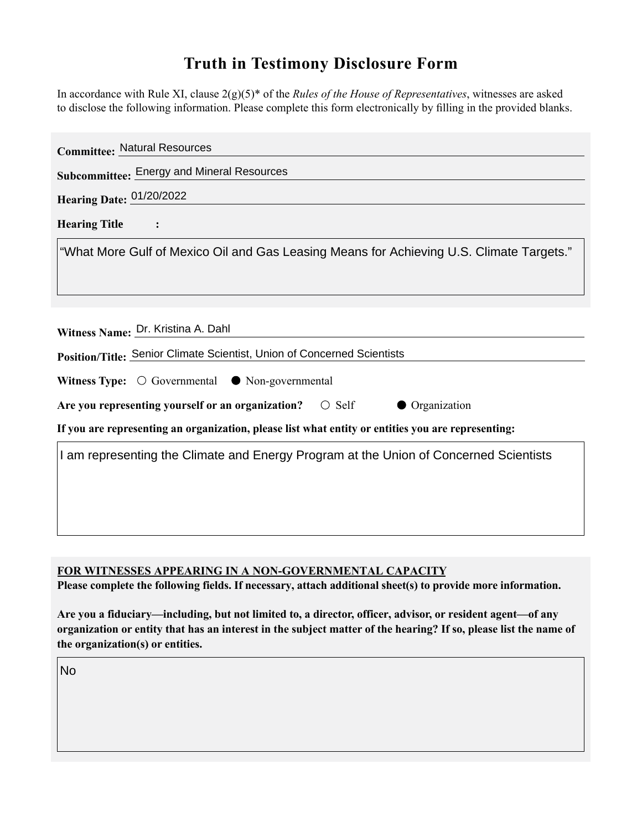## **Truth in Testimony Disclosure Form**

In accordance with Rule XI, clause 2(g)(5)\* of the *Rules of the House of Representatives*, witnesses are asked to disclose the following information. Please complete this form electronically by filling in the provided blanks.

| <b>Committee: Natural Resources</b>                                                                |
|----------------------------------------------------------------------------------------------------|
| Subcommittee: Energy and Mineral Resources                                                         |
| Hearing Date: 01/20/2022                                                                           |
| <b>Hearing Title</b>                                                                               |
| "What More Gulf of Mexico Oil and Gas Leasing Means for Achieving U.S. Climate Targets."           |
|                                                                                                    |
|                                                                                                    |
| Witness Name: Dr. Kristina A. Dahl                                                                 |
| Position/Title: Senior Climate Scientist, Union of Concerned Scientists                            |
| Witness Type: $\bigcirc$ Governmental $\bullet$ Non-governmental                                   |
| Are you representing yourself or an organization? $\circ$ Self<br>• Organization                   |
| If you are representing an organization, please list what entity or entities you are representing: |
| I am representing the Climate and Energy Program at the Union of Concerned Scientists              |
|                                                                                                    |
|                                                                                                    |
|                                                                                                    |
|                                                                                                    |

**FOR WITNESSES APPEARING IN A NON-GOVERNMENTAL CAPACITY**

**Please complete the following fields. If necessary, attach additional sheet(s) to provide more information.**

**Are you a fiduciary—including, but not limited to, a director, officer, advisor, or resident agent—of any organization or entity that has an interest in the subject matter of the hearing? If so, please list the name of the organization(s) or entities.**

No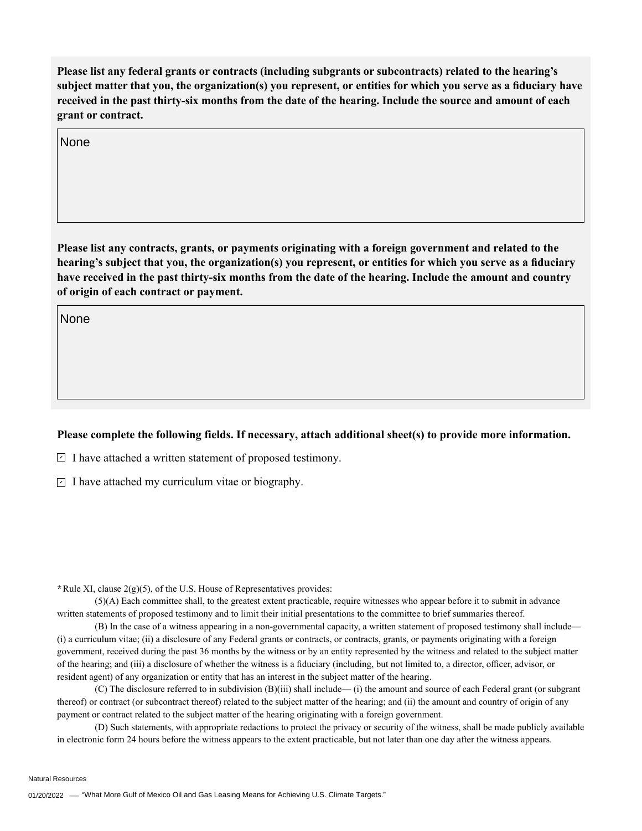**Please list any federal grants or contracts (including subgrants or subcontracts) related to the hearing's subject matter that you, the organization(s) you represent, or entities for which you serve as a fiduciary have received in the past thirty-six months from the date of the hearing. Include the source and amount of each grant or contract.** 

None

**Please list any contracts, grants, or payments originating with a foreign government and related to the hearing's subject that you, the organization(s) you represent, or entities for which you serve as a fiduciary have received in the past thirty-six months from the date of the hearing. Include the amount and country of origin of each contract or payment.** 

None

## **Please complete the following fields. If necessary, attach additional sheet(s) to provide more information.**

 $\exists$  I have attached a written statement of proposed testimony.

 $\subseteq$  I have attached my curriculum vitae or biography.

**\***Rule XI, clause 2(g)(5), of the U.S. House of Representatives provides:

(5)(A) Each committee shall, to the greatest extent practicable, require witnesses who appear before it to submit in advance written statements of proposed testimony and to limit their initial presentations to the committee to brief summaries thereof.

(B) In the case of a witness appearing in a non-governmental capacity, a written statement of proposed testimony shall include— (i) a curriculum vitae; (ii) a disclosure of any Federal grants or contracts, or contracts, grants, or payments originating with a foreign government, received during the past 36 months by the witness or by an entity represented by the witness and related to the subject matter of the hearing; and (iii) a disclosure of whether the witness is a fiduciary (including, but not limited to, a director, officer, advisor, or resident agent) of any organization or entity that has an interest in the subject matter of the hearing.

(C) The disclosure referred to in subdivision (B)(iii) shall include— (i) the amount and source of each Federal grant (or subgrant thereof) or contract (or subcontract thereof) related to the subject matter of the hearing; and (ii) the amount and country of origin of any payment or contract related to the subject matter of the hearing originating with a foreign government.

(D) Such statements, with appropriate redactions to protect the privacy or security of the witness, shall be made publicly available in electronic form 24 hours before the witness appears to the extent practicable, but not later than one day after the witness appears.

Natural Resources